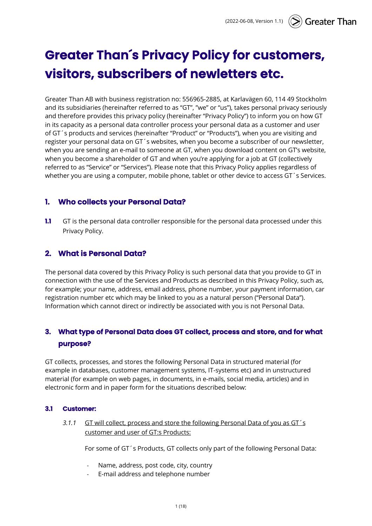# **Greater Than´s Privacy Policy for customers, visitors, subscribers of newletters etc.**

Greater Than AB with business registration no: 556965-2885, at Karlavägen 60, 114 49 Stockholm and its subsidiaries (hereinafter referred to as "GT", "we" or "us"), takes personal privacy seriously and therefore provides this privacy policy (hereinafter "Privacy Policy") to inform you on how GT in its capacity as a personal data controller process your personal data as a customer and user of GT´s products and services (hereinafter "Product" or "Products"), when you are visiting and register your personal data on GT´s websites, when you become a subscriber of our newsletter, when you are sending an e-mail to someone at GT, when you download content on GT's website, when you become a shareholder of GT and when you're applying for a job at GT (collectively referred to as "Service" or "Services"). Please note that this Privacy Policy applies regardless of whether you are using a computer, mobile phone, tablet or other device to access GT's Services.

# **1. Who collects your Personal Data?**

**1.1** GT is the personal data controller responsible for the personal data processed under this Privacy Policy.

# **2. What is Personal Data?**

The personal data covered by this Privacy Policy is such personal data that you provide to GT in connection with the use of the Services and Products as described in this Privacy Policy, such as, for example; your name, address, email address, phone number, your payment information, car registration number etc which may be linked to you as a natural person ("Personal Data"). Information which cannot direct or indirectly be associated with you is not Personal Data.

# **3. What type of Personal Data does GT collect, process and store, and for what purpose?**

GT collects, processes, and stores the following Personal Data in structured material (for example in databases, customer management systems, IT-systems etc) and in unstructured material (for example on web pages, in documents, in e-mails, social media, articles) and in electronic form and in paper form for the situations described below:

## **3.1 Customer:**

*3.1.1* GT will collect, process and store the following Personal Data of you as GT´s customer and user of GT:s Products:

For some of GT´s Products, GT collects only part of the following Personal Data:

- Name, address, post code, city, country
- E-mail address and telephone number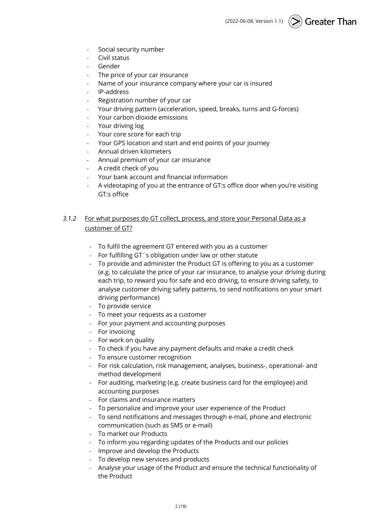- Social security number
- Civil status
- Gender
- The price of your car insurance
- Name of your insurance company where your car is insured
- IP-address
- Registration number of your car
- Your driving pattern (acceleration, speed, breaks, turns and G-forces)
- Your carbon dioxide emissions
- Your driving log
- Your core score for each trip
- Your GPS location and start and end points of your journey
- Annual driven kilometers
- Annual premium of your car insurance
- A credit check of you
- Your bank account and financial information
- A videotaping of you at the entrance of GT:s office door when you're visiting GT:s office

## *3.1.2* For what purposes do GT collect, process, and store your Personal Data as a customer of GT?

- To fulfil the agreement GT entered with you as a customer
- For fulfilling GT´s obligation under law or other statute
- To provide and administer the Product GT is offering to you as a customer (e.g. to calculate the price of your car insurance, to analyse your driving during each trip, to reward you for safe and eco driving, to ensure driving safety, to analyse customer driving safety patterns, to send notifications on your smart driving performance)
- To provide service
- To meet your requests as a customer
- For your payment and accounting purposes
- For invoicing
- For work on quality
- To check if you have any payment defaults and make a credit check
- To ensure customer recognition
- For risk calculation, risk management, analyses, business-, operational- and method development
- For auditing, marketing (e.g. create business card for the employee) and accounting purposes
- For claims and insurance matters
- To personalize and improve your user experience of the Product
- To send notifications and messages through e-mail, phone and electronic communication (such as SMS or e-mail)
- To market our Products
- To inform you regarding updates of the Products and our policies
- Improve and develop the Products
- To develop new services and products
- Analyse your usage of the Product and ensure the technical functionality of the Product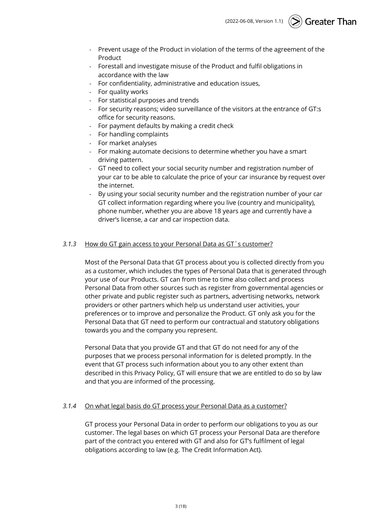(2022-06-08, Version 1.1) Greater Than

- Prevent usage of the Product in violation of the terms of the agreement of the Product
- Forestall and investigate misuse of the Product and fulfil obligations in accordance with the law
- For confidentiality, administrative and education issues,
- For quality works
- For statistical purposes and trends
- For security reasons; video surveillance of the visitors at the entrance of GT:s office for security reasons.
- For payment defaults by making a credit check
- For handling complaints
- For market analyses
- For making automate decisions to determine whether you have a smart driving pattern.
- GT need to collect your social security number and registration number of your car to be able to calculate the price of your car insurance by request over the internet.
- By using your social security number and the registration number of your car GT collect information regarding where you live (country and municipality), phone number, whether you are above 18 years age and currently have a driver's license, a car and car inspection data.

#### *3.1.3* How do GT gain access to your Personal Data as GT´s customer?

Most of the Personal Data that GT process about you is collected directly from you as a customer, which includes the types of Personal Data that is generated through your use of our Products. GT can from time to time also collect and process Personal Data from other sources such as register from governmental agencies or other private and public register such as partners, advertising networks, network providers or other partners which help us understand user activities, your preferences or to improve and personalize the Product. GT only ask you for the Personal Data that GT need to perform our contractual and statutory obligations towards you and the company you represent.

Personal Data that you provide GT and that GT do not need for any of the purposes that we process personal information for is deleted promptly. In the event that GT process such information about you to any other extent than described in this Privacy Policy, GT will ensure that we are entitled to do so by law and that you are informed of the processing.

#### *3.1.4* On what legal basis do GT process your Personal Data as a customer?

GT process your Personal Data in order to perform our obligations to you as our customer. The legal bases on which GT process your Personal Data are therefore part of the contract you entered with GT and also for GT's fulfilment of legal obligations according to law (e.g. The Credit Information Act).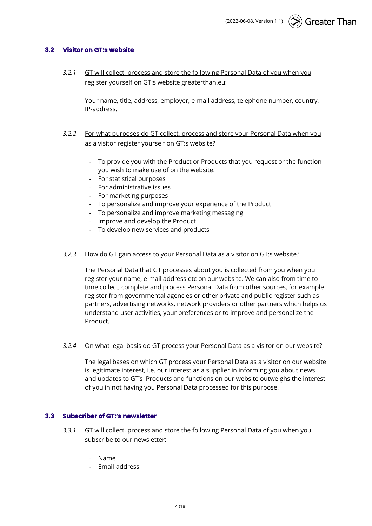## **3.2 Visitor on GT:s website**

*3.2.1* GT will collect, process and store the following Personal Data of you when you register yourself on GT:s website greaterthan.eu:

Your name, title, address, employer, e-mail address, telephone number, country, IP-address.

- *3.2.2* For what purposes do GT collect, process and store your Personal Data when you as a visitor register yourself on GT:s website?
	- To provide you with the Product or Products that you request or the function you wish to make use of on the website.
	- For statistical purposes
	- For administrative issues
	- For marketing purposes
	- To personalize and improve your experience of the Product
	- To personalize and improve marketing messaging
	- Improve and develop the Product
	- To develop new services and products

#### *3.2.3* How do GT gain access to your Personal Data as a visitor on GT:s website?

The Personal Data that GT processes about you is collected from you when you register your name, e-mail address etc on our website. We can also from time to time collect, complete and process Personal Data from other sources, for example register from governmental agencies or other private and public register such as partners, advertising networks, network providers or other partners which helps us understand user activities, your preferences or to improve and personalize the Product.

#### *3.2.4* On what legal basis do GT process your Personal Data as a visitor on our website?

The legal bases on which GT process your Personal Data as a visitor on our website is legitimate interest, i.e. our interest as a supplier in informing you about news and updates to GT's Products and functions on our website outweighs the interest of you in not having you Personal Data processed for this purpose.

#### **3.3 Subscriber of GT:'s newsletter**

- *3.3.1* GT will collect, process and store the following Personal Data of you when you subscribe to our newsletter:
	- Name
	- Email-address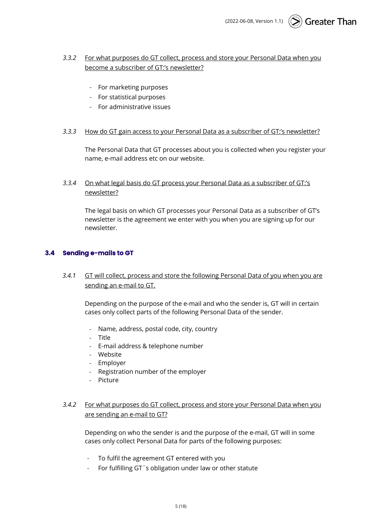## *3.3.2* For what purposes do GT collect, process and store your Personal Data when you become a subscriber of GT:'s newsletter?

- For marketing purposes
- For statistical purposes
- For administrative issues

#### *3.3.3* How do GT gain access to your Personal Data as a subscriber of GT:'s newsletter?

The Personal Data that GT processes about you is collected when you register your name, e-mail address etc on our website.

## *3.3.4* On what legal basis do GT process your Personal Data as a subscriber of GT:'s newsletter?

The legal basis on which GT processes your Personal Data as a subscriber of GT's newsletter is the agreement we enter with you when you are signing up for our newsletter.

### **3.4 Sending e-mails to GT**

*3.4.1* GT will collect, process and store the following Personal Data of you when you are sending an e-mail to GT.

Depending on the purpose of the e-mail and who the sender is, GT will in certain cases only collect parts of the following Personal Data of the sender.

- Name, address, postal code, city, country
- Title
- E-mail address & telephone number
- Website
- Employer
- Registration number of the employer
- Picture

## *3.4.2* For what purposes do GT collect, process and store your Personal Data when you are sending an e-mail to GT?

Depending on who the sender is and the purpose of the e-mail, GT will in some cases only collect Personal Data for parts of the following purposes:

- To fulfil the agreement GT entered with you
- For fulfilling GT´s obligation under law or other statute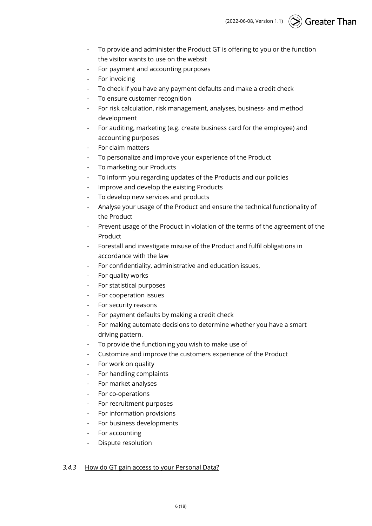- To provide and administer the Product GT is offering to you or the function the visitor wants to use on the websit
- For payment and accounting purposes
- For invoicing
- To check if you have any payment defaults and make a credit check
- To ensure customer recognition
- For risk calculation, risk management, analyses, business- and method development
- For auditing, marketing (e.g. create business card for the employee) and accounting purposes
- For claim matters
- To personalize and improve your experience of the Product
- To marketing our Products
- To inform you regarding updates of the Products and our policies
- Improve and develop the existing Products
- To develop new services and products
- Analyse your usage of the Product and ensure the technical functionality of the Product
- Prevent usage of the Product in violation of the terms of the agreement of the Product
- Forestall and investigate misuse of the Product and fulfil obligations in accordance with the law
- For confidentiality, administrative and education issues,
- For quality works
- For statistical purposes
- For cooperation issues
- For security reasons
- For payment defaults by making a credit check
- For making automate decisions to determine whether you have a smart driving pattern.
- To provide the functioning you wish to make use of
- Customize and improve the customers experience of the Product
- For work on quality
- For handling complaints
- For market analyses
- For co-operations
- For recruitment purposes
- For information provisions
- For business developments
- For accounting
- Dispute resolution

## *3.4.3* How do GT gain access to your Personal Data?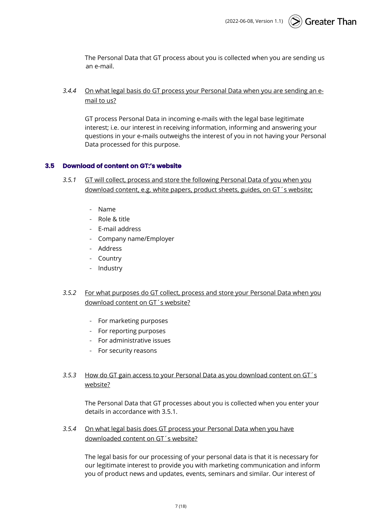The Personal Data that GT process about you is collected when you are sending us an e-mail.

*3.4.4* On what legal basis do GT process your Personal Data when you are sending an email to us?

GT process Personal Data in incoming e-mails with the legal base legitimate interest; i.e. our interest in receiving information, informing and answering your questions in your e-mails outweighs the interest of you in not having your Personal Data processed for this purpose.

#### **3.5 Download of content on GT:'s website**

- *3.5.1* GT will collect, process and store the following Personal Data of you when you download content, e.g. white papers, product sheets, guides, on GT´s website;
	- Name
	- Role & title
	- E-mail address
	- Company name/Employer
	- Address
	- Country
	- Industry
- *3.5.2* For what purposes do GT collect, process and store your Personal Data when you download content on GT´s website?
	- For marketing purposes
	- For reporting purposes
	- For administrative issues
	- For security reasons

## *3.5.3* How do GT gain access to your Personal Data as you download content on GT´s website?

The Personal Data that GT processes about you is collected when you enter your details in accordance with 3.5.1.

*3.5.4* On what legal basis does GT process your Personal Data when you have downloaded content on GT´s website?

The legal basis for our processing of your personal data is that it is necessary for our legitimate interest to provide you with marketing communication and inform you of product news and updates, events, seminars and similar. Our interest of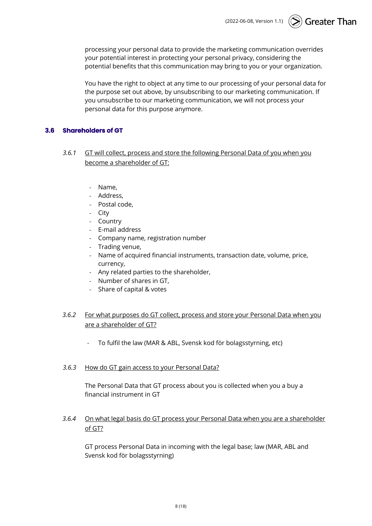$\circled{>}$  Greater Than (2022-06-08, Version 1.1)

processing your personal data to provide the marketing communication overrides your potential interest in protecting your personal privacy, considering the potential benefits that this communication may bring to you or your organization.

You have the right to object at any time to our processing of your personal data for the purpose set out above, by unsubscribing to our marketing communication. If you unsubscribe to our marketing communication, we will not process your personal data for this purpose anymore.

#### **3.6 Shareholders of GT**

- *3.6.1* GT will collect, process and store the following Personal Data of you when you become a shareholder of GT:
	- Name,
	- Address,
	- Postal code,
	- City
	- Country
	- E-mail address
	- Company name, registration number
	- Trading venue,
	- Name of acquired financial instruments, transaction date, volume, price, currency,
	- Any related parties to the shareholder,
	- Number of shares in GT,
	- Share of capital & votes

## *3.6.2* For what purposes do GT collect, process and store your Personal Data when you are a shareholder of GT?

- To fulfil the law (MAR & ABL, Svensk kod för bolagsstyrning, etc)

#### *3.6.3* How do GT gain access to your Personal Data?

The Personal Data that GT process about you is collected when you a buy a financial instrument in GT

## *3.6.4* On what legal basis do GT process your Personal Data when you are a shareholder of GT?

GT process Personal Data in incoming with the legal base; law (MAR, ABL and Svensk kod för bolagsstyrning)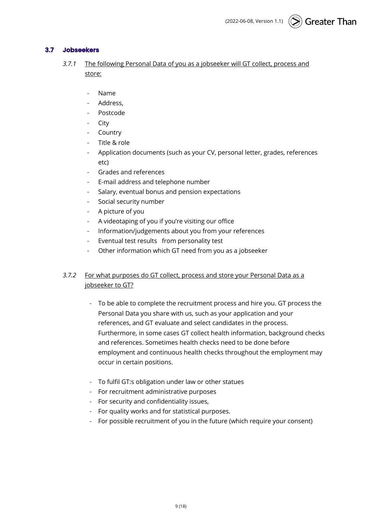## **3.7 Jobseekers**

- *3.7.1* The following Personal Data of you as a jobseeker will GT collect, process and store:
	- Name
	- Address.
	- Postcode
	- City
	- **Country**
	- Title & role
	- Application documents (such as your CV, personal letter, grades, references etc)
	- Grades and references
	- E-mail address and telephone number
	- Salary, eventual bonus and pension expectations
	- Social security number
	- A picture of you
	- A videotaping of you if you're visiting our office
	- Information/judgements about you from your references
	- Eventual test results from personality test
	- Other information which GT need from you as a jobseeker

## *3.7.2* For what purposes do GT collect, process and store your Personal Data as a jobseeker to GT?

- To be able to complete the recruitment process and hire you. GT process the Personal Data you share with us, such as your application and your references, and GT evaluate and select candidates in the process. Furthermore, in some cases GT collect health information, background checks and references. Sometimes health checks need to be done before employment and continuous health checks throughout the employment may occur in certain positions.
- To fulfil GT:s obligation under law or other statues
- For recruitment administrative purposes
- For security and confidentiality issues,
- For quality works and for statistical purposes.
- For possible recruitment of you in the future (which require your consent)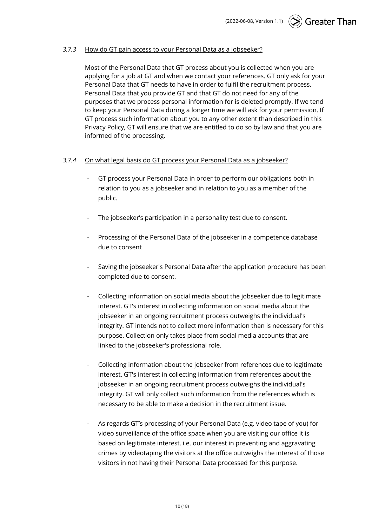#### *3.7.3* How do GT gain access to your Personal Data as a jobseeker?

Most of the Personal Data that GT process about you is collected when you are applying for a job at GT and when we contact your references. GT only ask for your Personal Data that GT needs to have in order to fulfil the recruitment process. Personal Data that you provide GT and that GT do not need for any of the purposes that we process personal information for is deleted promptly. If we tend to keep your Personal Data during a longer time we will ask for your permission. If GT process such information about you to any other extent than described in this Privacy Policy, GT will ensure that we are entitled to do so by law and that you are informed of the processing.

#### *3.7.4* On what legal basis do GT process your Personal Data as a jobseeker?

- GT process your Personal Data in order to perform our obligations both in relation to you as a jobseeker and in relation to you as a member of the public.
- The jobseeker's participation in a personality test due to consent.
- Processing of the Personal Data of the jobseeker in a competence database due to consent
- Saving the jobseeker's Personal Data after the application procedure has been completed due to consent.
- Collecting information on social media about the jobseeker due to legitimate interest. GT's interest in collecting information on social media about the jobseeker in an ongoing recruitment process outweighs the individual's integrity. GT intends not to collect more information than is necessary for this purpose. Collection only takes place from social media accounts that are linked to the jobseeker's professional role.
- Collecting information about the jobseeker from references due to legitimate interest. GT's interest in collecting information from references about the jobseeker in an ongoing recruitment process outweighs the individual's integrity. GT will only collect such information from the references which is necessary to be able to make a decision in the recruitment issue.
- As regards GT's processing of your Personal Data (e.g. video tape of you) for video surveillance of the office space when you are visiting our office it is based on legitimate interest, i.e. our interest in preventing and aggravating crimes by videotaping the visitors at the office outweighs the interest of those visitors in not having their Personal Data processed for this purpose.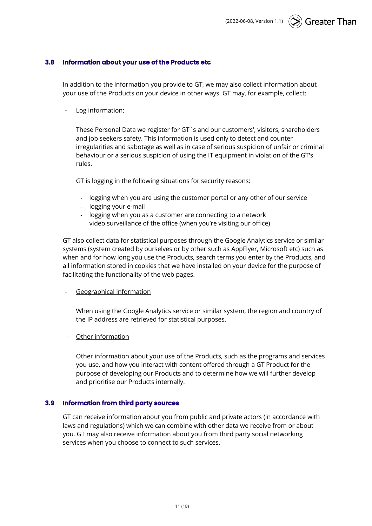#### **3.8 Information about your use of the Products etc**

In addition to the information you provide to GT, we may also collect information about your use of the Products on your device in other ways. GT may, for example, collect:

Log information:

These Personal Data we register for GT´s and our customers', visitors, shareholders and job seekers safety. This information is used only to detect and counter irregularities and sabotage as well as in case of serious suspicion of unfair or criminal behaviour or a serious suspicion of using the IT equipment in violation of the GT's rules.

GT is logging in the following situations for security reasons:

- logging when you are using the customer portal or any other of our service
- logging your e-mail
- logging when you as a customer are connecting to a network
- video surveillance of the office (when you're visiting our office)

GT also collect data for statistical purposes through the Google Analytics service or similar systems (system created by ourselves or by other such as AppFlyer, Microsoft etc) such as when and for how long you use the Products, search terms you enter by the Products, and all information stored in cookies that we have installed on your device for the purpose of facilitating the functionality of the web pages.

- Geographical information

When using the Google Analytics service or similar system, the region and country of the IP address are retrieved for statistical purposes.

- Other information

Other information about your use of the Products, such as the programs and services you use, and how you interact with content offered through a GT Product for the purpose of developing our Products and to determine how we will further develop and prioritise our Products internally.

#### **3.9 Information from third party sources**

GT can receive information about you from public and private actors (in accordance with laws and regulations) which we can combine with other data we receive from or about you. GT may also receive information about you from third party social networking services when you choose to connect to such services.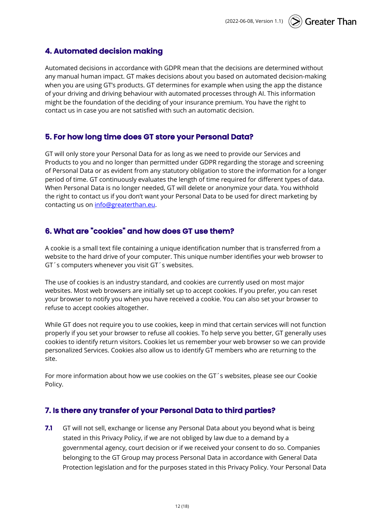# **4. Automated decision making**

Automated decisions in accordance with GDPR mean that the decisions are determined without any manual human impact. GT makes decisions about you based on automated decision-making when you are using GT's products. GT determines for example when using the app the distance of your driving and driving behaviour with automated processes through AI. This information might be the foundation of the deciding of your insurance premium. You have the right to contact us in case you are not satisfied with such an automatic decision.

# **5. For how long time does GT store your Personal Data?**

GT will only store your Personal Data for as long as we need to provide our Services and Products to you and no longer than permitted under GDPR regarding the storage and screening of Personal Data or as evident from any statutory obligation to store the information for a longer period of time. GT continuously evaluates the length of time required for different types of data. When Personal Data is no longer needed, GT will delete or anonymize your data. You withhold the right to contact us if you don't want your Personal Data to be used for direct marketing by contacting us on info@greaterthan.eu.

# **6. What are "cookies" and how does GT use them?**

A cookie is a small text file containing a unique identification number that is transferred from a website to the hard drive of your computer. This unique number identifies your web browser to GT´s computers whenever you visit GT´s websites.

The use of cookies is an industry standard, and cookies are currently used on most major websites. Most web browsers are initially set up to accept cookies. If you prefer, you can reset your browser to notify you when you have received a cookie. You can also set your browser to refuse to accept cookies altogether.

While GT does not require you to use cookies, keep in mind that certain services will not function properly if you set your browser to refuse all cookies. To help serve you better, GT generally uses cookies to identify return visitors. Cookies let us remember your web browser so we can provide personalized Services. Cookies also allow us to identify GT members who are returning to the site.

For more information about how we use cookies on the GT´s websites, please see our Cookie Policy.

## **7. Is there any transfer of your Personal Data to third parties?**

**7.1** GT will not sell, exchange or license any Personal Data about you beyond what is being stated in this Privacy Policy, if we are not obliged by law due to a demand by a governmental agency, court decision or if we received your consent to do so. Companies belonging to the GT Group may process Personal Data in accordance with General Data Protection legislation and for the purposes stated in this Privacy Policy. Your Personal Data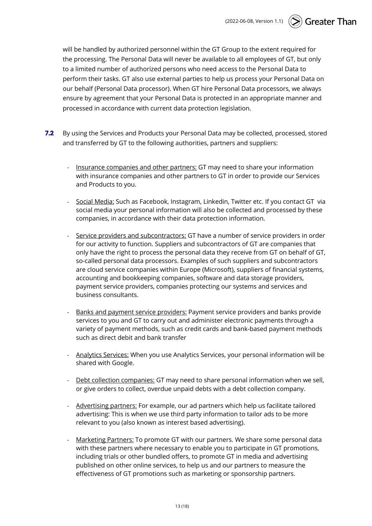will be handled by authorized personnel within the GT Group to the extent required for the processing. The Personal Data will never be available to all employees of GT, but only to a limited number of authorized persons who need access to the Personal Data to perform their tasks. GT also use external parties to help us process your Personal Data on our behalf (Personal Data processor). When GT hire Personal Data processors, we always ensure by agreement that your Personal Data is protected in an appropriate manner and processed in accordance with current data protection legislation.

- **7.2** By using the Services and Products your Personal Data may be collected, processed, stored and transferred by GT to the following authorities, partners and suppliers:
	- Insurance companies and other partners: GT may need to share your information with insurance companies and other partners to GT in order to provide our Services and Products to you.
	- Social Media: Such as Facebook, Instagram, Linkedin, Twitter etc. If you contact GT via social media your personal information will also be collected and processed by these companies, in accordance with their data protection information.
	- Service providers and subcontractors: GT have a number of service providers in order for our activity to function. Suppliers and subcontractors of GT are companies that only have the right to process the personal data they receive from GT on behalf of GT, so-called personal data processors. Examples of such suppliers and subcontractors are cloud service companies within Europe (Microsoft), suppliers of financial systems, accounting and bookkeeping companies, software and data storage providers, payment service providers, companies protecting our systems and services and business consultants.
	- Banks and payment service providers: Payment service providers and banks provide services to you and GT to carry out and administer electronic payments through a variety of payment methods, such as credit cards and bank-based payment methods such as direct debit and bank transfer
	- Analytics Services: When you use Analytics Services, your personal information will be shared with Google.
	- Debt collection companies: GT may need to share personal information when we sell, or give orders to collect, overdue unpaid debts with a debt collection company.
	- Advertising partners: For example, our ad partners which help us facilitate tailored advertising: This is when we use third party information to tailor ads to be more relevant to you (also known as interest based advertising).
	- Marketing Partners: To promote GT with our partners. We share some personal data with these partners where necessary to enable you to participate in GT promotions, including trials or other bundled offers, to promote GT in media and advertising published on other online services, to help us and our partners to measure the effectiveness of GT promotions such as marketing or sponsorship partners.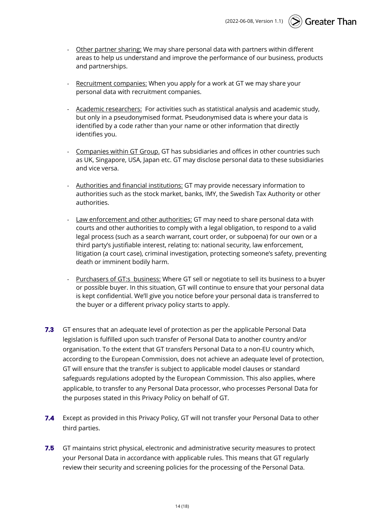**Greater Than** (2022-06-08, Version 1.1)

- Other partner sharing: We may share personal data with partners within different areas to help us understand and improve the performance of our business, products and partnerships.
- Recruitment companies: When you apply for a work at GT we may share your personal data with recruitment companies.
- Academic researchers: For activities such as statistical analysis and academic study, but only in a pseudonymised format. Pseudonymised data is where your data is identified by a code rather than your name or other information that directly identifies you.
- Companies within GT Group. GT has subsidiaries and offices in other countries such as UK, Singapore, USA, Japan etc. GT may disclose personal data to these subsidiaries and vice versa.
- Authorities and financial institutions: GT may provide necessary information to authorities such as the stock market, banks, IMY, the Swedish Tax Authority or other authorities.
- Law enforcement and other authorities: GT may need to share personal data with courts and other authorities to comply with a legal obligation, to respond to a valid legal process (such as a search warrant, court order, or subpoena) for our own or a third party's justifiable interest, relating to: national security, law enforcement, litigation (a court case), criminal investigation, protecting someone's safety, preventing death or imminent bodily harm.
- Purchasers of GT:s business: Where GT sell or negotiate to sell its business to a buyer or possible buyer. In this situation, GT will continue to ensure that your personal data is kept confidential. We'll give you notice before your personal data is transferred to the buyer or a different privacy policy starts to apply.
- **7.3** GT ensures that an adequate level of protection as per the applicable Personal Data legislation is fulfilled upon such transfer of Personal Data to another country and/or organisation. To the extent that GT transfers Personal Data to a non-EU country which, according to the European Commission, does not achieve an adequate level of protection, GT will ensure that the transfer is subject to applicable model clauses or standard safeguards regulations adopted by the European Commission. This also applies, where applicable, to transfer to any Personal Data processor, who processes Personal Data for the purposes stated in this Privacy Policy on behalf of GT.
- **7.4** Except as provided in this Privacy Policy, GT will not transfer your Personal Data to other third parties.
- **7.5** GT maintains strict physical, electronic and administrative security measures to protect your Personal Data in accordance with applicable rules. This means that GT regularly review their security and screening policies for the processing of the Personal Data.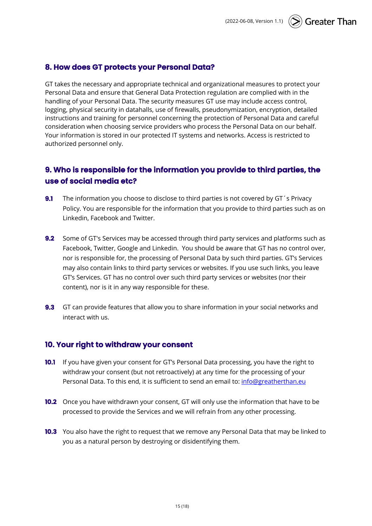# **8. How does GT protects your Personal Data?**

GT takes the necessary and appropriate technical and organizational measures to protect your Personal Data and ensure that General Data Protection regulation are complied with in the handling of your Personal Data. The security measures GT use may include access control, logging, physical security in datahalls, use of firewalls, pseudonymization, encryption, detailed instructions and training for personnel concerning the protection of Personal Data and careful consideration when choosing service providers who process the Personal Data on our behalf. Your information is stored in our protected IT systems and networks. Access is restricted to authorized personnel only.

# **9. Who is responsible for the information you provide to third parties, the use of social media etc?**

- **9.1** The information you choose to disclose to third parties is not covered by GT's Privacy Policy. You are responsible for the information that you provide to third parties such as on Linkedin, Facebook and Twitter.
- **9.2** Some of GT's Services may be accessed through third party services and platforms such as Facebook, Twitter, Google and Linkedin. You should be aware that GT has no control over, nor is responsible for, the processing of Personal Data by such third parties. GT's Services may also contain links to third party services or websites. If you use such links, you leave GT's Services. GT has no control over such third party services or websites (nor their content), nor is it in any way responsible for these.
- **9.3** GT can provide features that allow you to share information in your social networks and interact with us.

# **10. Your right to withdraw your consent**

- **10.1** If you have given your consent for GT's Personal Data processing, you have the right to withdraw your consent (but not retroactively) at any time for the processing of your Personal Data. To this end, it is sufficient to send an email to: info@greatherthan.eu
- **10.2** Once you have withdrawn your consent, GT will only use the information that have to be processed to provide the Services and we will refrain from any other processing.
- **10.3** You also have the right to request that we remove any Personal Data that may be linked to you as a natural person by destroying or disidentifying them.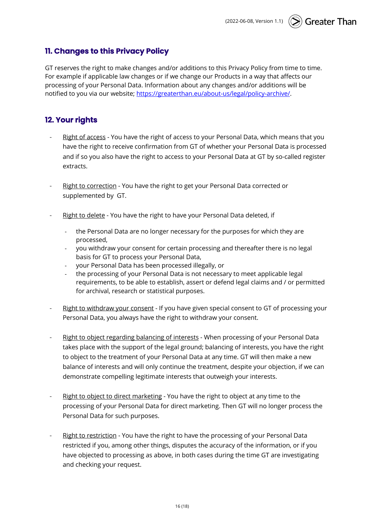# **11. Changes to this Privacy Policy**

GT reserves the right to make changes and/or additions to this Privacy Policy from time to time. For example if applicable law changes or if we change our Products in a way that affects our processing of your Personal Data. Information about any changes and/or additions will be notified to you via our website; https://greaterthan.eu/about-us/legal/policy-archive/.

# **12. Your rights**

- Right of access You have the right of access to your Personal Data, which means that you have the right to receive confirmation from GT of whether your Personal Data is processed and if so you also have the right to access to your Personal Data at GT by so-called register extracts.
- Right to correction You have the right to get your Personal Data corrected or supplemented by GT.
- Right to delete You have the right to have your Personal Data deleted, if
	- the Personal Data are no longer necessary for the purposes for which they are processed,
	- you withdraw your consent for certain processing and thereafter there is no legal basis for GT to process your Personal Data,
	- your Personal Data has been processed illegally, or
	- the processing of your Personal Data is not necessary to meet applicable legal requirements, to be able to establish, assert or defend legal claims and / or permitted for archival, research or statistical purposes.
- Right to withdraw your consent If you have given special consent to GT of processing your Personal Data, you always have the right to withdraw your consent.
- Right to object regarding balancing of interests When processing of your Personal Data takes place with the support of the legal ground; balancing of interests, you have the right to object to the treatment of your Personal Data at any time. GT will then make a new balance of interests and will only continue the treatment, despite your objection, if we can demonstrate compelling legitimate interests that outweigh your interests.
- Right to object to direct marketing You have the right to object at any time to the processing of your Personal Data for direct marketing. Then GT will no longer process the Personal Data for such purposes.
- Right to restriction You have the right to have the processing of your Personal Data restricted if you, among other things, disputes the accuracy of the information, or if you have objected to processing as above, in both cases during the time GT are investigating and checking your request.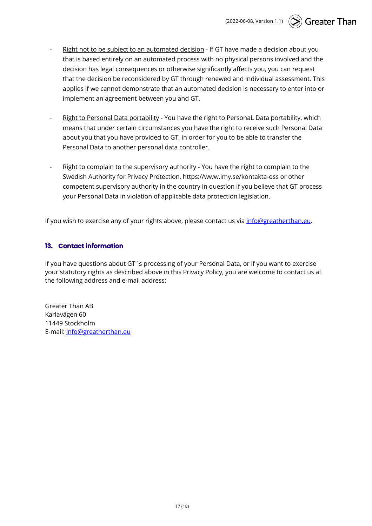- Right not to be subject to an automated decision If GT have made a decision about you that is based entirely on an automated process with no physical persons involved and the decision has legal consequences or otherwise significantly affects you, you can request that the decision be reconsidered by GT through renewed and individual assessment. This applies if we cannot demonstrate that an automated decision is necessary to enter into or implement an agreement between you and GT.
- Right to Personal Data portability You have the right to Personal Data portability, which means that under certain circumstances you have the right to receive such Personal Data about you that you have provided to GT, in order for you to be able to transfer the Personal Data to another personal data controller.
- Right to complain to the supervisory authority You have the right to complain to the Swedish Authority for Privacy Protection, https://www.imy.se/kontakta-oss or other competent supervisory authority in the country in question if you believe that GT process your Personal Data in violation of applicable data protection legislation.

If you wish to exercise any of your rights above, please contact us via info@greatherthan.eu.

## **13. Contact information**

If you have questions about GT´s processing of your Personal Data, or if you want to exercise your statutory rights as described above in this Privacy Policy, you are welcome to contact us at the following address and e-mail address:

Greater Than AB Karlavägen 60 11449 Stockholm E-mail: info@greatherthan.eu